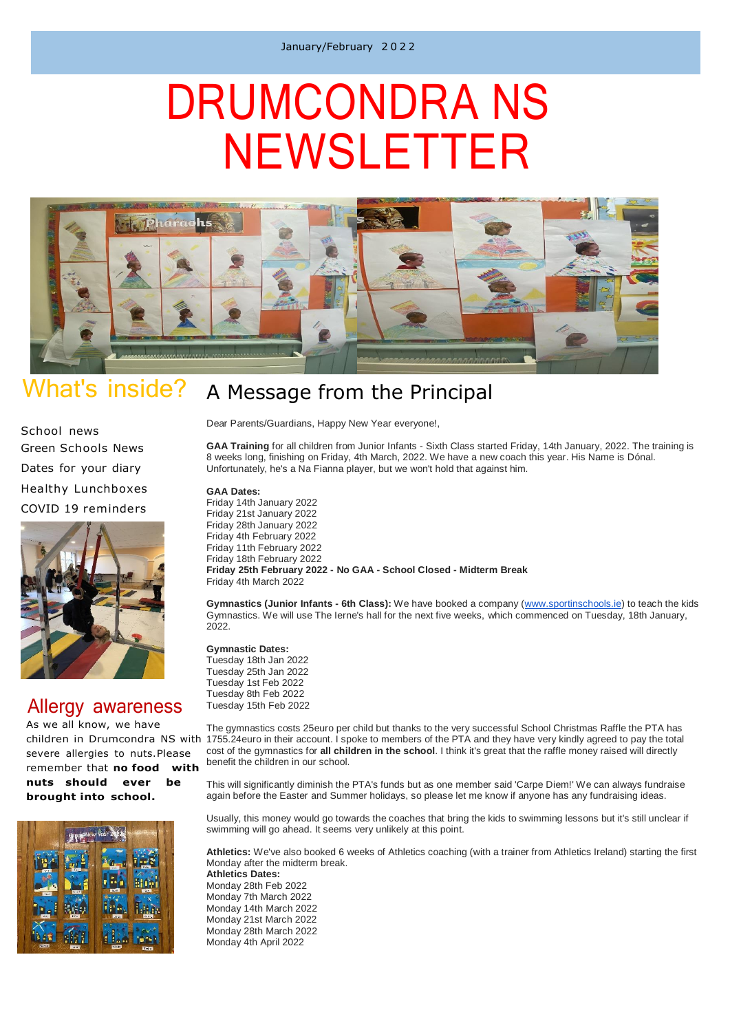# DRUMCONDRA NS NEWSLETTER



#### What's inside? A Message from the Principal

School news Green Schools News Dates for your diary Healthy Lunchboxes

COVID 19 reminders



## Allergy awareness

As we all know, we have severe allergies to nuts.Please remember that **no food with nuts should ever be brought into school.**



Dear Parents/Guardians, Happy New Year everyone!,

**GAA Training** for all children from Junior Infants - Sixth Class started Friday, 14th January, 2022. The training is 8 weeks long, finishing on Friday, 4th March, 2022. We have a new coach this year. His Name is Dónal. Unfortunately, he's a Na Fianna player, but we won't hold that against him.

**GAA Dates:**

Friday 14th January 2022 Friday 21st January 2022 Friday 28th January 2022 Friday 4th February 2022 Friday 11th February 2022 Friday 18th February 2022 **Friday 25th February 2022 - No GAA - School Closed - Midterm Break** Friday 4th March 2022

**Gymnastics (Junior Infants - 6th Class):** We have booked a company [\(www.sportinschools.ie\)](http://www.sportinschools.ie/) to teach the kids Gymnastics. We will use The Ierne's hall for the next five weeks, which commenced on Tuesday, 18th January, 2022.

**Gymnastic Dates:**

Tuesday 18th Jan 2022 Tuesday 25th Jan 2022 Tuesday 1st Feb 2022 Tuesday 8th Feb 2022 Tuesday 15th Feb 2022

children in Drumcondra NS with 1755.24euro in their account. I spoke to members of the PTA and they have very kindly agreed to pay the total The gymnastics costs 25euro per child but thanks to the very successful School Christmas Raffle the PTA has cost of the gymnastics for **all children in the school**. I think it's great that the raffle money raised will directly benefit the children in our school.

> This will significantly diminish the PTA's funds but as one member said 'Carpe Diem!' We can always fundraise again before the Easter and Summer holidays, so please let me know if anyone has any fundraising ideas.

> Usually, this money would go towards the coaches that bring the kids to swimming lessons but it's still unclear if swimming will go ahead. It seems very unlikely at this point.

**Athletics:** We've also booked 6 weeks of Athletics coaching (with a trainer from Athletics Ireland) starting the first Monday after the midterm break. **Athletics Dates:**

Monday 28th Feb 2022 Monday 7th March 2022 Monday 14th March 2022 Monday 21st March 2022 Monday 28th March 2022 Monday 4th April 2022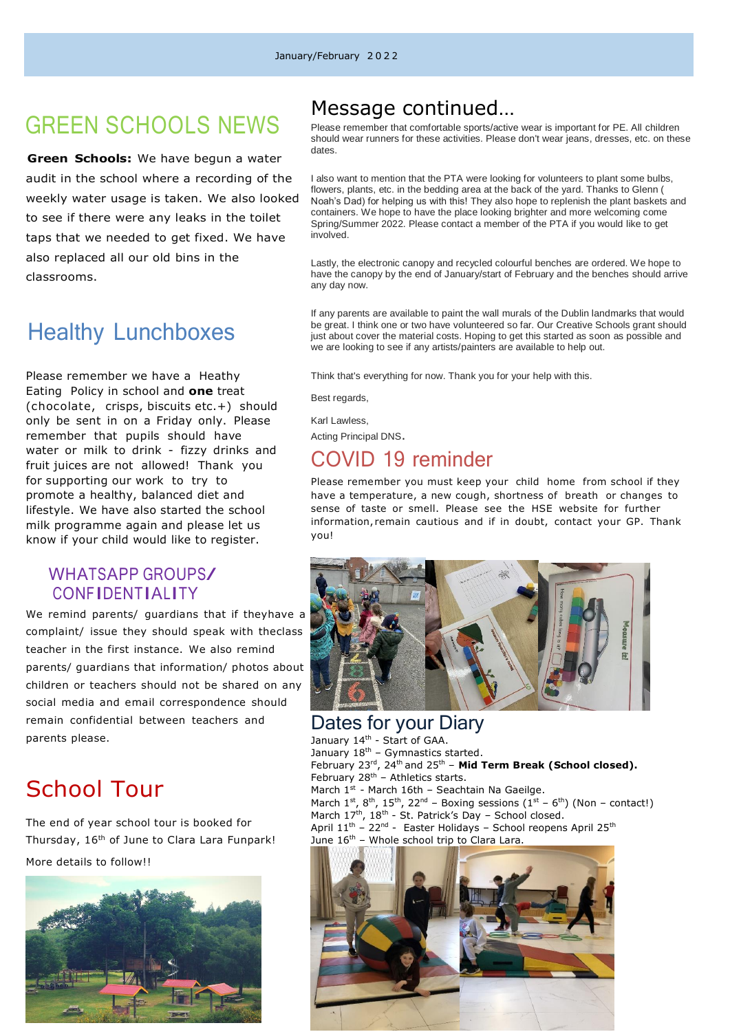# GREEN SCHOOLS NEWS

 **Green Schools:** We have begun a water audit in the school where a recording of the weekly water usage is taken. We also looked to see if there were any leaks in the toilet taps that we needed to get fixed. We have also replaced all our old bins in the classrooms.

## Healthy Lunchboxes

Please remember we have a Heathy Eating Policy in school and **one** treat (chocolate, crisps, biscuits etc.+) should only be sent in on a Friday only. Please remember that pupils should have water or milk to drink - fizzy drinks and fruit juices are not allowed! Thank you for supporting our work to try to promote a healthy, balanced diet and lifestyle. We have also started the school milk programme again and please let us know if your child would like to register.

## WHATSAPP GROUPS/ CONFIDENTIALITY

We remind parents/ guardians that if theyhave a complaint/ issue they should speak with theclass teacher in the first instance. We also remind parents/ guardians that information/ photos about children or teachers should not be shared on any social media and email correspondence should remain confidential between teachers and parents please.

## School Tour

The end of year school tour is booked for Thursday, 16<sup>th</sup> of June to Clara Lara Funpark! More details to follow!!



## Message continued…

Please remember that comfortable sports/active wear is important for PE. All children should wear runners for these activities. Please don't wear jeans, dresses, etc. on these dates.

I also want to mention that the PTA were looking for volunteers to plant some bulbs, flowers, plants, etc. in the bedding area at the back of the yard. Thanks to Glenn ( Noah's Dad) for helping us with this! They also hope to replenish the plant baskets and containers. We hope to have the place looking brighter and more welcoming come Spring/Summer 2022. Please contact a member of the PTA if you would like to get involved.

Lastly, the electronic canopy and recycled colourful benches are ordered. We hope to have the canopy by the end of January/start of February and the benches should arrive any day now.

If any parents are available to paint the wall murals of the Dublin landmarks that would be great. I think one or two have volunteered so far. Our Creative Schools grant should just about cover the material costs. Hoping to get this started as soon as possible and we are looking to see if any artists/painters are available to help out.

Think that's everything for now. Thank you for your help with this.

Best regards,

Karl Lawless,

Acting Principal DNS.

## COVID 19 reminder

Please remember you must keep your child home from school if they have a temperature, a new cough, shortness of breath or changes to sense of taste or smell. Please see the HSE website for further information, remain cautious and if in doubt, contact your GP. Thank you!



### Dates for your Diary January 14<sup>th</sup> - Start of GAA. January  $18^{th}$  – Gymnastics started. February 23<sup>rd</sup>, 24<sup>th</sup> and 25<sup>th</sup> - Mid Term Break (School closed). February  $28<sup>th</sup>$  – Athletics starts. March  $1<sup>st</sup>$  - March 16th – Seachtain Na Gaeilge. March  $1^{st}$ ,  $8^{th}$ ,  $15^{th}$ ,  $22^{nd}$  – Boxing sessions  $(1^{st}$  –  $6^{th})$  (Non – contact!) March  $17<sup>th</sup>$ ,  $18<sup>th</sup>$  - St. Patrick's Day – School closed. April 11<sup>th</sup> - 22<sup>nd</sup> - Easter Holidays - School reopens April 25<sup>th</sup> June  $16<sup>th</sup>$  – Whole school trip to Clara Lara.